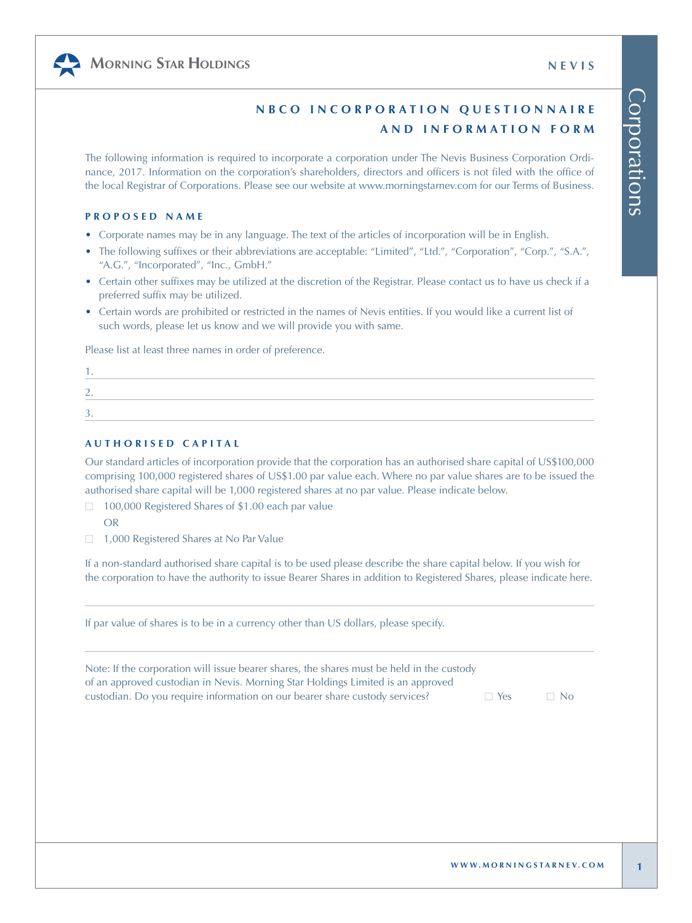

# **N B C O I N C O R P O R A T I O N Q U E S T I O N N A I R E AND INFORMATION FORM**

The following information is required to incorporate a corporation under The Nevis Business Corporation Ordinance, 2017. Information on the corporation's shareholders, directors and officers is not filed with the office of the local Registrar of Corporations. Please see our website a[t www.morningstarnev.com f](www.morningstarnev.com)or our Terms of Business.

#### **PROPOSED NAME**

- Corporate names may be in any language. The text of the articles of incorporation will be in English.
- The following suffixes or their abbreviations are acceptable: "Limited", "Ltd.", "Corporation", "Corp.", "S.A.", "A.G.", "Incorporated", "Inc., GmbH."
- Certain other suffixes may be utilized at the discretion of the Registrar. Please contact us to have us check if a preferred suffix may be utilized.
- Certain words are prohibited or restricted in the names of Nevis entities. If you would like a current list of such words, please let us know and we will provide you with same.

Please list at least three names in order of preference.

### **AUTHORISED CAPITAL**

Our standard articles of incorporation provide that the corporation has an authorised share capital of US\$100,000 comprising 100,000 registered shares of US\$1.00 par value each. Where no par value shares are to be issued the authorised share capital will be 1,000 registered shares at no par value. Please indicate below.

- □ 100,000 Registered Shares of \$1.00 each par value OR
- □ 1,000 Registered Shares at No Par Value

If a non-standard authorised share capital is to be used please describe the share capital below. If you wish for the corporation to have the authority to issue Bearer Shares in addition to Registered Shares, please indicate here.

If par value of shares is to be in a currency other than US dollars, please specify.

Note: If the corporation will issue bearer shares, the shares must be held in the custody of an approved custodian in Nevis. Morning Star Holdings Limited is an approved custodian. Do you require information on our bearer share custody services?  $\Box$  Yes  $\Box$  No Corporations

Corporations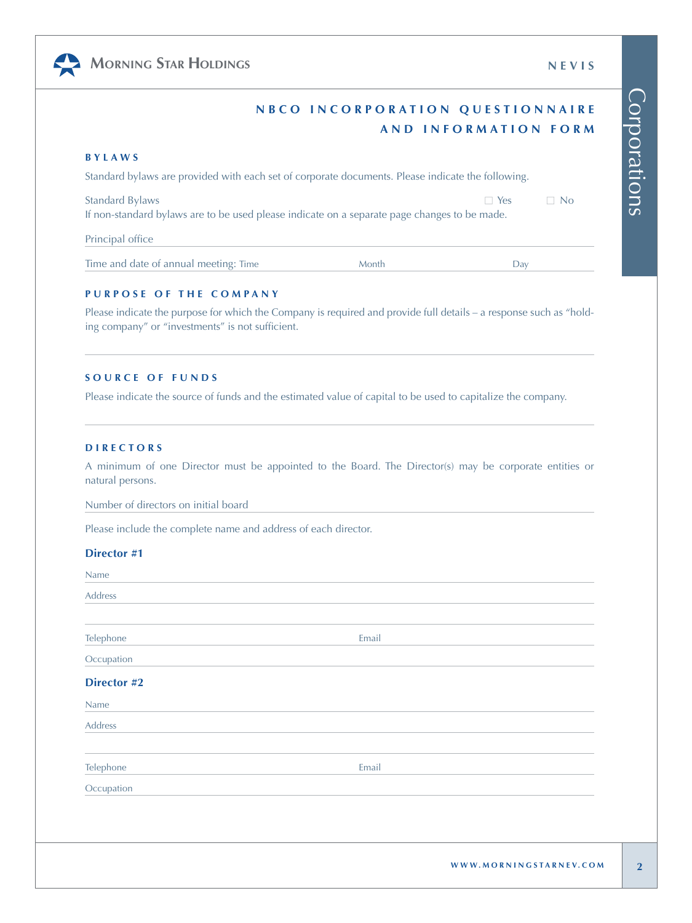Corporations

Corporations

| NBCO INCORPORATION QUESTIONNAIRE |                      |  |
|----------------------------------|----------------------|--|
|                                  | AND INFORMATION FORM |  |

#### **BYLAWS**

Standard bylaws are provided with each set of corporate documents. Please indicate the following.

Standard Bylaws □ Yes □ No If non-standard bylaws are to be used please indicate on a separate page changes to be made.

Principal office

Time and date of annual meeting: Time Month Month Day

#### **PURPOSE OF THE COMPANY**

Please indicate the purpose for which the Company is required and provide full details – a response such as "holding company" or "investments" is not sufficient.

#### **SOURCE OF FUNDS**

Please indicate the source of funds and the estimated value of capital to be used to capitalize the company.

### **DIRECTORS**

A minimum of one Director must be appointed to the Board. The Director(s) may be corporate entities or natural persons.

Number of directors on initial board

Please include the complete name and address of each director.

#### **Director #1**

Name

| Address     |       |                        |
|-------------|-------|------------------------|
| Telephone   | Email |                        |
| Occupation  |       |                        |
| Director #2 |       |                        |
| Name        |       |                        |
| Address     |       |                        |
| Telephone   | Email |                        |
| Occupation  |       |                        |
|             |       |                        |
|             |       |                        |
|             |       | WWW.MORNINGSTARNEV.COM |



## **MORNING STAR HOLDINGS NEVIS**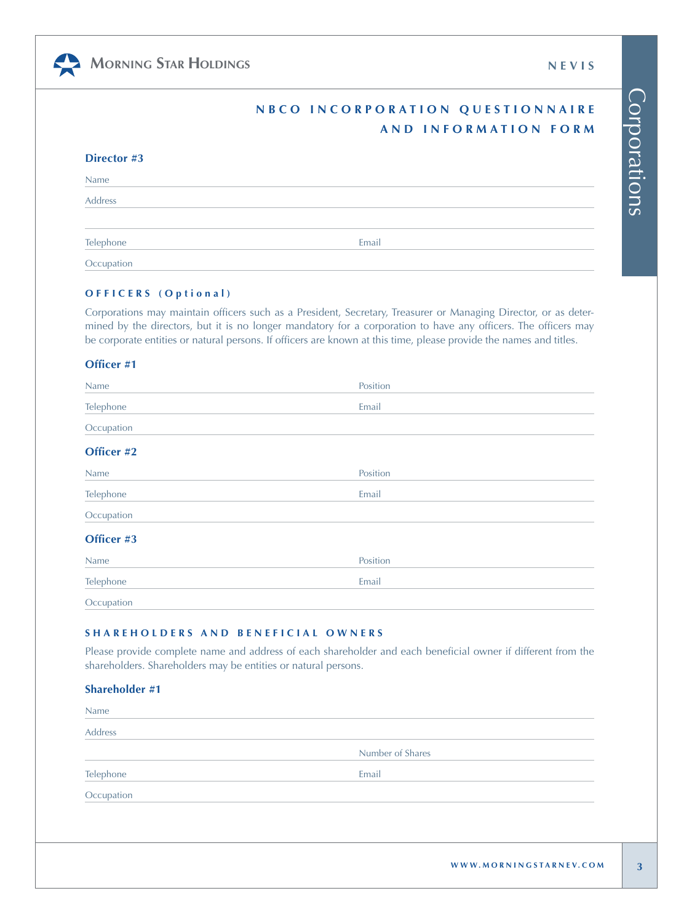

|  | <b>NEVIS</b> |
|--|--------------|

# **N B C O I N C O R P O R A T I O N Q U E S T I O N N A I R E AND INFORMATION FORM**

| Director #3 |       |  |
|-------------|-------|--|
| Name        |       |  |
| Address     |       |  |
| Telephone   | Email |  |
| Occupation  |       |  |

### **OFFICERS ( Optional )**

Corporations may maintain officers such as a President, Secretary, Treasurer or Managing Director, or as determined by the directors, but it is no longer mandatory for a corporation to have any officers. The officers may be corporate entities or natural persons. If officers are known at this time, please provide the names and titles.

#### **Officer #1**

| Name       | Position |
|------------|----------|
| Telephone  | Email    |
| Occupation |          |
| Officer #2 |          |
| Name       | Position |
| Telephone  | Email    |
| Occupation |          |
| Officer #3 |          |
| Name       | Position |
| Telephone  | Email    |
| Occupation |          |

## **SHAREHOLDERS AND BENEFICIAL OWNERS**

Please provide complete name and address of each shareholder and each beneficial owner if different from the shareholders. Shareholders may be entities or natural persons.

## **Shareholder #1**

| Name       |                  |  |
|------------|------------------|--|
| Address    |                  |  |
|            | Number of Shares |  |
| Telephone  | Email            |  |
| Occupation |                  |  |
|            |                  |  |
|            |                  |  |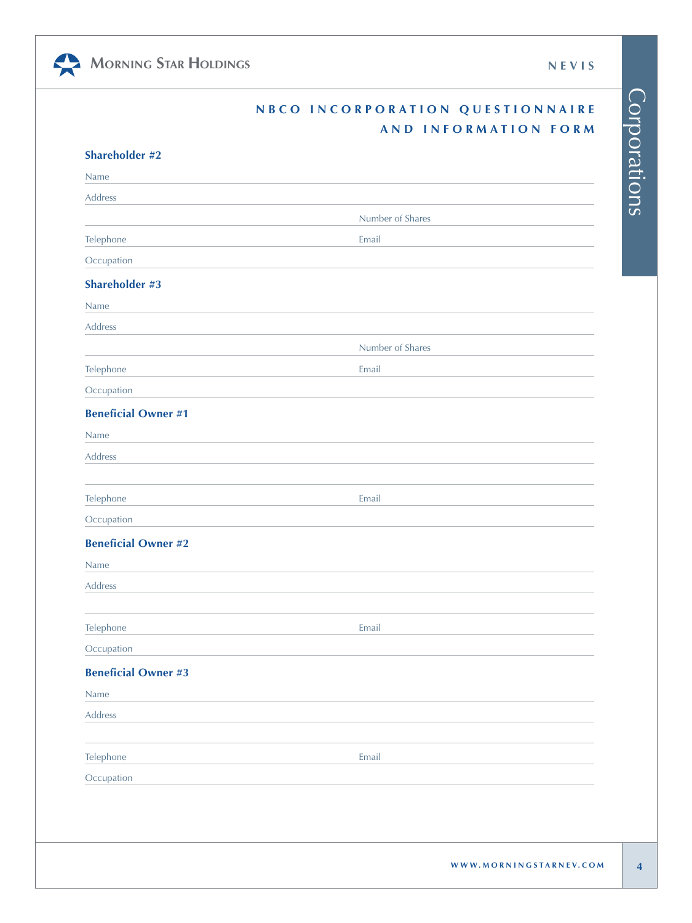Corporations

Corporations



|                            | NBCO INCORPORATION QUESTIONNAIRE |
|----------------------------|----------------------------------|
|                            | AND INFORMATION FORM             |
| <b>Shareholder #2</b>      |                                  |
| Name                       |                                  |
| Address                    |                                  |
|                            | Number of Shares                 |
| Telephone                  | Email                            |
| Occupation                 |                                  |
| <b>Shareholder #3</b>      |                                  |
| Name                       |                                  |
| Address                    |                                  |
|                            | Number of Shares                 |
| Telephone                  | Email                            |
| Occupation                 |                                  |
| <b>Beneficial Owner #1</b> |                                  |
| Name                       |                                  |
| <b>Address</b>             |                                  |
|                            |                                  |
| Telephone                  | Email                            |
| Occupation                 |                                  |
| <b>Beneficial Owner #2</b> |                                  |
| Name                       |                                  |
| <b>Address</b>             |                                  |
|                            |                                  |

**Occupation** 

**Beneficial Owner #3**

Telephone Email

Name Address

Telephone **Email** 

**Occupation**